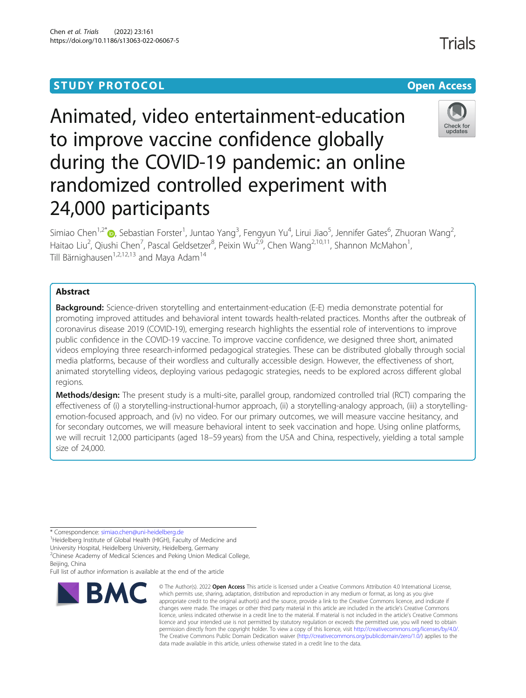# **STUDY PROTOCOL CONSUMING THE CONSUMING OPEN ACCESS**

# Animated, video entertainment-education to improve vaccine confidence globally during the COVID-19 pandemic: an online randomized controlled experiment with 24,000 participants

Simiao Chen<sup>1,2[\\*](http://orcid.org/0000-0003-0555-2157)</sup>�, Sebastian Forster<sup>1</sup>, Juntao Yang<sup>3</sup>, Fengyun Yu<sup>4</sup>, Lirui Jiao<sup>5</sup>, Jennifer Gates<sup>6</sup>, Zhuoran Wang<sup>2</sup> , Haitao Liu<sup>2</sup>, Qiushi Chen<sup>7</sup>, Pascal Geldsetzer<sup>8</sup>, Peixin Wu<sup>2,9</sup>, Chen Wang<sup>2,10,11</sup>, Shannon McMahon<sup>1</sup> , Till Bärnighausen<sup>1,2,12,13</sup> and Maya Adam<sup>14</sup>

# Abstract

Background: Science-driven storytelling and entertainment-education (E-E) media demonstrate potential for promoting improved attitudes and behavioral intent towards health-related practices. Months after the outbreak of coronavirus disease 2019 (COVID-19), emerging research highlights the essential role of interventions to improve public confidence in the COVID-19 vaccine. To improve vaccine confidence, we designed three short, animated videos employing three research-informed pedagogical strategies. These can be distributed globally through social media platforms, because of their wordless and culturally accessible design. However, the effectiveness of short, animated storytelling videos, deploying various pedagogic strategies, needs to be explored across different global regions.

Methods/design: The present study is a multi-site, parallel group, randomized controlled trial (RCT) comparing the effectiveness of (i) a storytelling-instructional-humor approach, (ii) a storytelling-analogy approach, (iii) a storytellingemotion-focused approach, and (iv) no video. For our primary outcomes, we will measure vaccine hesitancy, and for secondary outcomes, we will measure behavioral intent to seek vaccination and hope. Using online platforms, we will recruit 12,000 participants (aged 18–59 years) from the USA and China, respectively, yielding a total sample size of 24,000.

\* Correspondence: [simiao.chen@uni-heidelberg.de](mailto:simiao.chen@uni-heidelberg.de) <sup>1</sup>

<sup>1</sup> Heidelberg Institute of Global Health (HIGH), Faculty of Medicine and

University Hospital, Heidelberg University, Heidelberg, Germany

<sup>2</sup>Chinese Academy of Medical Sciences and Peking Union Medical College, Beijing, China

Full list of author information is available at the end of the article



<sup>©</sup> The Author(s), 2022 **Open Access** This article is licensed under a Creative Commons Attribution 4.0 International License, which permits use, sharing, adaptation, distribution and reproduction in any medium or format, as long as you give appropriate credit to the original author(s) and the source, provide a link to the Creative Commons licence, and indicate if changes were made. The images or other third party material in this article are included in the article's Creative Commons licence, unless indicated otherwise in a credit line to the material. If material is not included in the article's Creative Commons licence and your intended use is not permitted by statutory regulation or exceeds the permitted use, you will need to obtain permission directly from the copyright holder. To view a copy of this licence, visit [http://creativecommons.org/licenses/by/4.0/.](http://creativecommons.org/licenses/by/4.0/) The Creative Commons Public Domain Dedication waiver [\(http://creativecommons.org/publicdomain/zero/1.0/](http://creativecommons.org/publicdomain/zero/1.0/)) applies to the data made available in this article, unless otherwise stated in a credit line to the data.

**Trials** 

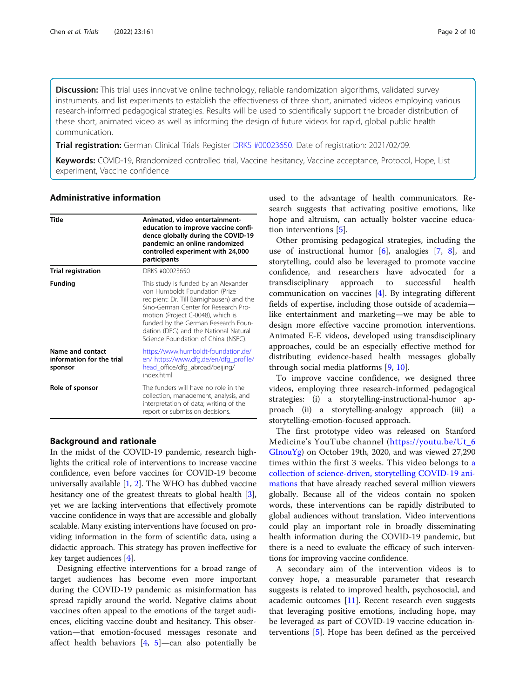Discussion: This trial uses innovative online technology, reliable randomization algorithms, validated survey instruments, and list experiments to establish the effectiveness of three short, animated videos employing various research-informed pedagogical strategies. Results will be used to scientifically support the broader distribution of these short, animated video as well as informing the design of future videos for rapid, global public health communication.

Trial registration: German Clinical Trials Register [DRKS #00023650.](https://www.drks.de/drks_web/navigate.do?navigationId=trial.HTML&TRIAL_ID=DRKS00023650) Date of registration: 2021/02/09.

Keywords: COVID-19, Rrandomized controlled trial, Vaccine hesitancy, Vaccine acceptance, Protocol, Hope, List experiment, Vaccine confidence

# Administrative information

| Title                                                    | Animated, video entertainment-<br>education to improve vaccine confi-<br>dence globally during the COVID-19<br>pandemic: an online randomized<br>controlled experiment with 24,000<br>participants                                                                                                                      |  |
|----------------------------------------------------------|-------------------------------------------------------------------------------------------------------------------------------------------------------------------------------------------------------------------------------------------------------------------------------------------------------------------------|--|
| <b>Trial registration</b>                                | DRKS #00023650                                                                                                                                                                                                                                                                                                          |  |
| <b>Funding</b>                                           | This study is funded by an Alexander<br>von Humboldt Foundation (Prize<br>recipient: Dr. Till Bärnighausen) and the<br>Sino-German Center for Research Pro-<br>motion (Project C-0048), which is<br>funded by the German Research Foun-<br>dation (DFG) and the National Natural<br>Science Foundation of China (NSFC). |  |
| Name and contact<br>information for the trial<br>sponsor | https://www.humboldt-foundation.de/<br>en/https://www.dfg.de/en/dfg_profile/<br>head_office/dfg_abroad/beijing/<br>index.html                                                                                                                                                                                           |  |
| Role of sponsor                                          | The funders will have no role in the<br>collection, management, analysis, and<br>interpretation of data; writing of the<br>report or submission decisions.                                                                                                                                                              |  |

#### Background and rationale

In the midst of the COVID-19 pandemic, research highlights the critical role of interventions to increase vaccine confidence, even before vaccines for COVID-19 become universally available [\[1](#page-8-0), [2](#page-8-0)]. The WHO has dubbed vaccine hesitancy one of the greatest threats to global health [[3](#page-8-0)], yet we are lacking interventions that effectively promote vaccine confidence in ways that are accessible and globally scalable. Many existing interventions have focused on providing information in the form of scientific data, using a didactic approach. This strategy has proven ineffective for key target audiences [\[4](#page-8-0)].

Designing effective interventions for a broad range of target audiences has become even more important during the COVID-19 pandemic as misinformation has spread rapidly around the world. Negative claims about vaccines often appeal to the emotions of the target audiences, eliciting vaccine doubt and hesitancy. This observation—that emotion-focused messages resonate and affect health behaviors  $[4, 5]$  $[4, 5]$  $[4, 5]$ —can also potentially be

used to the advantage of health communicators. Research suggests that activating positive emotions, like hope and altruism, can actually bolster vaccine education interventions [[5\]](#page-8-0).

Other promising pedagogical strategies, including the use of instructional humor [\[6\]](#page-8-0), analogies [\[7](#page-8-0), [8](#page-8-0)], and storytelling, could also be leveraged to promote vaccine confidence, and researchers have advocated for a transdisciplinary approach to successful health communication on vaccines [[4\]](#page-8-0). By integrating different fields of expertise, including those outside of academia like entertainment and marketing—we may be able to design more effective vaccine promotion interventions. Animated E-E videos, developed using transdisciplinary approaches, could be an especially effective method for distributing evidence-based health messages globally through social media platforms [[9,](#page-8-0) [10\]](#page-8-0).

To improve vaccine confidence, we designed three videos, employing three research-informed pedagogical strategies: (i) a storytelling-instructional-humor approach (ii) a storytelling-analogy approach (iii) a storytelling-emotion-focused approach.

The first prototype video was released on Stanford Medicine's YouTube channel ([https://youtu.be/Ut\\_6](https://youtu.be/Ut_6GInouYg) [GInouYg](https://youtu.be/Ut_6GInouYg)) on October 19th, 2020, and was viewed 27,290 times within the first 3 weeks. This video belongs to [a](https://www.youtube.com/playlist?list=PLVKEERwuGN0_HNss3Jqv2_HEsCB6yPSQy) [collection of science-driven, storytelling COVID-19 ani](https://www.youtube.com/playlist?list=PLVKEERwuGN0_HNss3Jqv2_HEsCB6yPSQy)[mations](https://www.youtube.com/playlist?list=PLVKEERwuGN0_HNss3Jqv2_HEsCB6yPSQy) that have already reached several million viewers globally. Because all of the videos contain no spoken words, these interventions can be rapidly distributed to global audiences without translation. Video interventions could play an important role in broadly disseminating health information during the COVID-19 pandemic, but there is a need to evaluate the efficacy of such interventions for improving vaccine confidence.

A secondary aim of the intervention videos is to convey hope, a measurable parameter that research suggests is related to improved health, psychosocial, and academic outcomes [\[11](#page-8-0)]. Recent research even suggests that leveraging positive emotions, including hope, may be leveraged as part of COVID-19 vaccine education interventions [\[5](#page-8-0)]. Hope has been defined as the perceived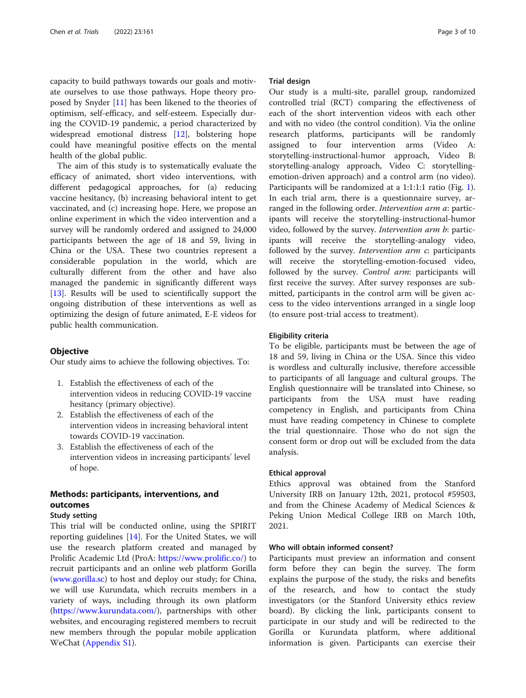capacity to build pathways towards our goals and motivate ourselves to use those pathways. Hope theory proposed by Snyder [[11\]](#page-8-0) has been likened to the theories of optimism, self-efficacy, and self-esteem. Especially during the COVID-19 pandemic, a period characterized by widespread emotional distress [[12](#page-8-0)], bolstering hope could have meaningful positive effects on the mental health of the global public.

The aim of this study is to systematically evaluate the efficacy of animated, short video interventions, with different pedagogical approaches, for (a) reducing vaccine hesitancy, (b) increasing behavioral intent to get vaccinated, and (c) increasing hope. Here, we propose an online experiment in which the video intervention and a survey will be randomly ordered and assigned to 24,000 participants between the age of 18 and 59, living in China or the USA. These two countries represent a considerable population in the world, which are culturally different from the other and have also managed the pandemic in significantly different ways [[13\]](#page-8-0). Results will be used to scientifically support the ongoing distribution of these interventions as well as optimizing the design of future animated, E-E videos for public health communication.

# **Objective**

Our study aims to achieve the following objectives. To:

- 1. Establish the effectiveness of each of the intervention videos in reducing COVID-19 vaccine hesitancy (primary objective).
- 2. Establish the effectiveness of each of the intervention videos in increasing behavioral intent towards COVID-19 vaccination.
- 3. Establish the effectiveness of each of the intervention videos in increasing participants' level of hope.

# Methods: participants, interventions, and outcomes

# Study setting

This trial will be conducted online, using the SPIRIT reporting guidelines [\[14](#page-9-0)]. For the United States, we will use the research platform created and managed by Prolific Academic Ltd (ProA: <https://www.prolific.co/>) to recruit participants and an online web platform Gorilla ([www.gorilla.sc](http://www.gorilla.sc)) to host and deploy our study; for China, we will use Kurundata, which recruits members in a variety of ways, including through its own platform ([https://www.kurundata.com/\)](https://www.kurundata.com/), partnerships with other websites, and encouraging registered members to recruit new members through the popular mobile application WeChat ([Appendix S1](#page-8-0)).

### Trial design

Our study is a multi-site, parallel group, randomized controlled trial (RCT) comparing the effectiveness of each of the short intervention videos with each other and with no video (the control condition). Via the online research platforms, participants will be randomly assigned to four intervention arms (Video A: storytelling-instructional-humor approach, Video B: storytelling-analogy approach, Video C: storytellingemotion-driven approach) and a control arm (no video). Participants will be randomized at a 1:1:1:1 ratio (Fig. [1](#page-3-0)). In each trial arm, there is a questionnaire survey, arranged in the following order. Intervention arm a: participants will receive the storytelling-instructional-humor video, followed by the survey. Intervention arm b: participants will receive the storytelling-analogy video, followed by the survey. *Intervention arm c*: participants will receive the storytelling-emotion-focused video, followed by the survey. Control arm: participants will first receive the survey. After survey responses are submitted, participants in the control arm will be given access to the video interventions arranged in a single loop (to ensure post-trial access to treatment).

#### Eligibility criteria

To be eligible, participants must be between the age of 18 and 59, living in China or the USA. Since this video is wordless and culturally inclusive, therefore accessible to participants of all language and cultural groups. The English questionnaire will be translated into Chinese, so participants from the USA must have reading competency in English, and participants from China must have reading competency in Chinese to complete the trial questionnaire. Those who do not sign the consent form or drop out will be excluded from the data analysis.

#### Ethical approval

Ethics approval was obtained from the Stanford University IRB on January 12th, 2021, protocol #59503, and from the Chinese Academy of Medical Sciences & Peking Union Medical College IRB on March 10th, 2021.

# Who will obtain informed consent?

Participants must preview an information and consent form before they can begin the survey. The form explains the purpose of the study, the risks and benefits of the research, and how to contact the study investigators (or the Stanford University ethics review board). By clicking the link, participants consent to participate in our study and will be redirected to the Gorilla or Kurundata platform, where additional information is given. Participants can exercise their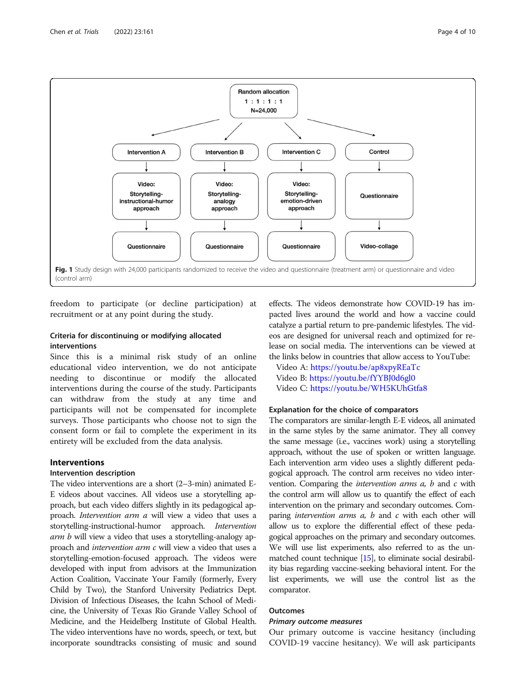<span id="page-3-0"></span>

freedom to participate (or decline participation) at recruitment or at any point during the study.

# Criteria for discontinuing or modifying allocated interventions

Since this is a minimal risk study of an online educational video intervention, we do not anticipate needing to discontinue or modify the allocated interventions during the course of the study. Participants can withdraw from the study at any time and participants will not be compensated for incomplete surveys. Those participants who choose not to sign the consent form or fail to complete the experiment in its entirety will be excluded from the data analysis.

# Interventions

# Intervention description

The video interventions are a short (2–3-min) animated E-E videos about vaccines. All videos use a storytelling approach, but each video differs slightly in its pedagogical approach. Intervention arm a will view a video that uses a storytelling-instructional-humor approach. Intervention arm b will view a video that uses a storytelling-analogy approach and intervention arm c will view a video that uses a storytelling-emotion-focused approach. The videos were developed with input from advisors at the Immunization Action Coalition, Vaccinate Your Family (formerly, Every Child by Two), the Stanford University Pediatrics Dept. Division of Infectious Diseases, the Icahn School of Medicine, the University of Texas Rio Grande Valley School of Medicine, and the Heidelberg Institute of Global Health. The video interventions have no words, speech, or text, but incorporate soundtracks consisting of music and sound

effects. The videos demonstrate how COVID-19 has impacted lives around the world and how a vaccine could catalyze a partial return to pre-pandemic lifestyles. The videos are designed for universal reach and optimized for release on social media. The interventions can be viewed at the links below in countries that allow access to YouTube:

Video A: <https://youtu.be/ap8xpyREaTc> Video B: <https://youtu.be/fYYBJ0d6gl0> Video C: <https://youtu.be/WH5KUhGtfa8>

# Explanation for the choice of comparators

The comparators are similar-length E-E videos, all animated in the same styles by the same animator. They all convey the same message (i.e., vaccines work) using a storytelling approach, without the use of spoken or written language. Each intervention arm video uses a slightly different pedagogical approach. The control arm receives no video intervention. Comparing the intervention arms a, b and c with the control arm will allow us to quantify the effect of each intervention on the primary and secondary outcomes. Comparing *intervention arms*  $a$ ,  $b$  and  $c$  with each other will allow us to explore the differential effect of these pedagogical approaches on the primary and secondary outcomes. We will use list experiments, also referred to as the unmatched count technique [\[15](#page-9-0)], to eliminate social desirability bias regarding vaccine-seeking behavioral intent. For the list experiments, we will use the control list as the comparator.

# Outcomes

# Primary outcome measures

Our primary outcome is vaccine hesitancy (including COVID-19 vaccine hesitancy). We will ask participants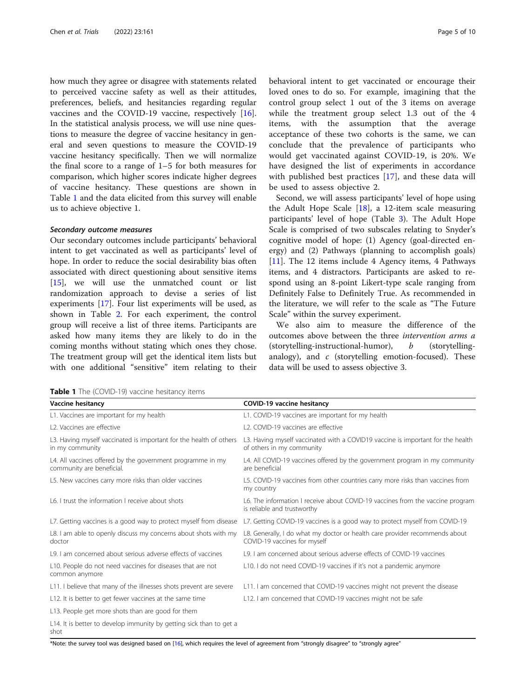how much they agree or disagree with statements related to perceived vaccine safety as well as their attitudes, preferences, beliefs, and hesitancies regarding regular vaccines and the COVID-19 vaccine, respectively [\[16](#page-9-0)]. In the statistical analysis process, we will use nine questions to measure the degree of vaccine hesitancy in general and seven questions to measure the COVID-19 vaccine hesitancy specifically. Then we will normalize the final score to a range of 1–5 for both measures for comparison, which higher scores indicate higher degrees of vaccine hesitancy. These questions are shown in Table 1 and the data elicited from this survey will enable us to achieve objective 1.

#### Secondary outcome measures

Our secondary outcomes include participants' behavioral intent to get vaccinated as well as participants' level of hope. In order to reduce the social desirability bias often associated with direct questioning about sensitive items [[15\]](#page-9-0), we will use the unmatched count or list randomization approach to devise a series of list experiments [[17\]](#page-9-0). Four list experiments will be used, as shown in Table [2](#page-5-0). For each experiment, the control group will receive a list of three items. Participants are asked how many items they are likely to do in the coming months without stating which ones they chose. The treatment group will get the identical item lists but with one additional "sensitive" item relating to their

behavioral intent to get vaccinated or encourage their loved ones to do so. For example, imagining that the control group select 1 out of the 3 items on average while the treatment group select 1.3 out of the 4 items, with the assumption that the average acceptance of these two cohorts is the same, we can conclude that the prevalence of participants who would get vaccinated against COVID-19, is 20%. We have designed the list of experiments in accordance with published best practices [[17](#page-9-0)], and these data will be used to assess objective 2.

Second, we will assess participants' level of hope using the Adult Hope Scale [\[18](#page-9-0)], a 12-item scale measuring participants' level of hope (Table [3\)](#page-5-0). The Adult Hope Scale is comprised of two subscales relating to Snyder's cognitive model of hope: (1) Agency (goal-directed energy) and (2) Pathways (planning to accomplish goals) [[11\]](#page-8-0). The 12 items include 4 Agency items, 4 Pathways items, and 4 distractors. Participants are asked to respond using an 8-point Likert-type scale ranging from Definitely False to Definitely True. As recommended in the literature, we will refer to the scale as "The Future Scale" within the survey experiment.

We also aim to measure the difference of the outcomes above between the three intervention arms a (storytelling-instructional-humor),  $b$  (storytellinganalogy), and  $c$  (storytelling emotion-focused). These data will be used to assess objective 3.

Table 1 The (COVID-19) vaccine hesitancy items

| Vaccine hesitancy                                                                       | <b>COVID-19 vaccine hesitancy</b>                                                                             |  |
|-----------------------------------------------------------------------------------------|---------------------------------------------------------------------------------------------------------------|--|
| L1. Vaccines are important for my health                                                | L1. COVID-19 vaccines are important for my health                                                             |  |
| L2. Vaccines are effective                                                              | L2. COVID-19 vaccines are effective                                                                           |  |
| L3. Having myself vaccinated is important for the health of others<br>in my community   | L3. Having myself vaccinated with a COVID19 vaccine is important for the health<br>of others in my community  |  |
| L4. All vaccines offered by the government programme in my<br>community are beneficial. | L4. All COVID-19 vaccines offered by the government program in my community<br>are beneficial                 |  |
| L5. New vaccines carry more risks than older vaccines                                   | L5. COVID-19 vaccines from other countries carry more risks than vaccines from<br>my country                  |  |
| L6. I trust the information I receive about shots                                       | L6. The information I receive about COVID-19 vaccines from the vaccine program<br>is reliable and trustworthy |  |
| L7. Getting vaccines is a good way to protect myself from disease                       | L7. Getting COVID-19 vaccines is a good way to protect myself from COVID-19                                   |  |
| L8. I am able to openly discuss my concerns about shots with my<br>doctor               | L8. Generally, I do what my doctor or health care provider recommends about<br>COVID-19 vaccines for myself   |  |
| L9. I am concerned about serious adverse effects of vaccines                            | L9. I am concerned about serious adverse effects of COVID-19 vaccines                                         |  |
| L10. People do not need vaccines for diseases that are not<br>common anymore            | L10. I do not need COVID-19 vaccines if it's not a pandemic anymore                                           |  |
| L11. I believe that many of the illnesses shots prevent are severe                      | L11. I am concerned that COVID-19 vaccines might not prevent the disease                                      |  |
| L12. It is better to get fewer vaccines at the same time                                | L12. I am concerned that COVID-19 vaccines might not be safe                                                  |  |
| L13. People get more shots than are good for them                                       |                                                                                                               |  |
| L14. It is better to develop immunity by getting sick than to get a<br>shot             |                                                                                                               |  |

\*Note: the survey tool was designed based on [\[16\]](#page-9-0), which requires the level of agreement from "strongly disagree" to "strongly agree"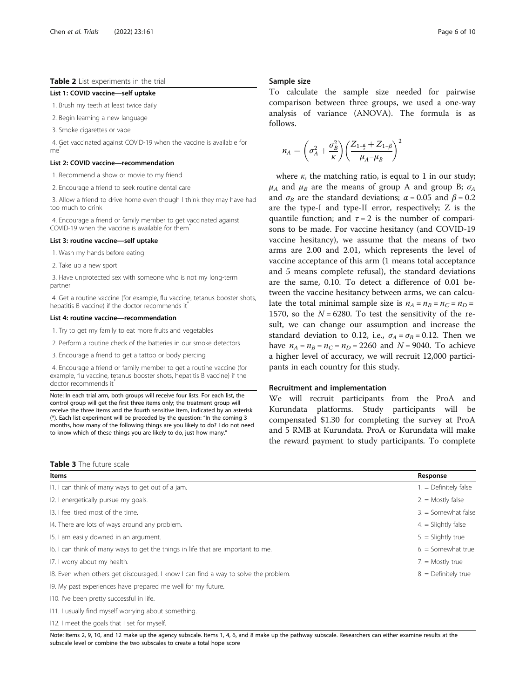## <span id="page-5-0"></span>Table 2 List experiments in the trial

#### List 1: COVID vaccine—self uptake

1. Brush my teeth at least twice daily

2. Begin learning a new language

3. Smoke cigarettes or vape

4. Get vaccinated against COVID-19 when the vaccine is available for  $me$ 

### List 2: COVID vaccine—recommendation

1. Recommend a show or movie to my friend

2. Encourage a friend to seek routine dental care

3. Allow a friend to drive home even though I think they may have had too much to drink

4. Encourage a friend or family member to get vaccinated against COVID-19 when the vaccine is available for them<sup>\*</sup>

#### List 3: routine vaccine—self uptake

1. Wash my hands before eating

2. Take up a new sport

3. Have unprotected sex with someone who is not my long-term partner

4. Get a routine vaccine (for example, flu vaccine, tetanus booster shots, hepatitis B vaccine) if the doctor recommends it

#### List 4: routine vaccine—recommendation

1. Try to get my family to eat more fruits and vegetables

2. Perform a routine check of the batteries in our smoke detectors

3. Encourage a friend to get a tattoo or body piercing

4. Encourage a friend or family member to get a routine vaccine (for example, flu vaccine, tetanus booster shots, hepatitis B vaccine) if the doctor recommends it<sup>\*</sup>

Note: In each trial arm, both groups will receive four lists. For each list, the control group will get the first three items only; the treatment group will receive the three items and the fourth sensitive item, indicated by an asterisk (\*). Each list experiment will be preceded by the question: "In the coming 3 months, how many of the following things are you likely to do? I do not need to know which of these things you are likely to do, just how many."

#### Sample size

To calculate the sample size needed for pairwise comparison between three groups, we used a one-way analysis of variance (ANOVA). The formula is as follows.

$$
n_A = \left(\sigma_A^2 + \frac{\sigma_B^2}{\kappa}\right) \left(\frac{Z_{1-\frac{\alpha}{\tau}} + Z_{1-\beta}}{\mu_A - \mu_B}\right)^2
$$

where  $\kappa$ , the matching ratio, is equal to 1 in our study;  $\mu_A$  and  $\mu_B$  are the means of group A and group B;  $\sigma_A$ and  $\sigma_B$  are the standard deviations;  $\alpha = 0.05$  and  $\beta = 0.2$ are the type-I and type-II error, respectively; Z is the quantile function; and  $\tau = 2$  is the number of comparisons to be made. For vaccine hesitancy (and COVID-19 vaccine hesitancy), we assume that the means of two arms are 2.00 and 2.01, which represents the level of vaccine acceptance of this arm (1 means total acceptance and 5 means complete refusal), the standard deviations are the same, 0.10. To detect a difference of 0.01 between the vaccine hesitancy between arms, we can calculate the total minimal sample size is  $n_A = n_B = n_C = n_D =$ 1570, so the  $N = 6280$ . To test the sensitivity of the result, we can change our assumption and increase the standard deviation to 0.12, i.e.,  $\sigma_A = \sigma_B = 0.12$ . Then we have  $n_A = n_B = n_C = n_D = 2260$  and  $N = 9040$ . To achieve a higher level of accuracy, we will recruit 12,000 participants in each country for this study.

#### Recruitment and implementation

We will recruit participants from the ProA and Kurundata platforms. Study participants will be compensated \$1.30 for completing the survey at ProA and 5 RMB at Kurundata. ProA or Kurundata will make the reward payment to study participants. To complete

| <b>Table 3</b> The future scale |
|---------------------------------|
|                                 |

| Items                                                                               | Response                |
|-------------------------------------------------------------------------------------|-------------------------|
| 11. I can think of many ways to get out of a jam.                                   | $1. =$ Definitely false |
| 12. I energetically pursue my goals.                                                | $2 =$ Mostly false      |
| 13. I feel tired most of the time.                                                  | $3. =$ Somewhat false   |
| 14. There are lots of ways around any problem.                                      | $4 =$ Slightly false    |
| 15. I am easily downed in an argument.                                              | $5. =$ Slightly true    |
| 16. I can think of many ways to get the things in life that are important to me.    | $6. =$ Somewhat true    |
| 17. I worry about my health.                                                        | $7 =$ Mostly true       |
| 18. Even when others get discouraged, I know I can find a way to solve the problem. | $8. =$ Definitely true  |
| 19. My past experiences have prepared me well for my future.                        |                         |
| 110. I've been pretty successful in life.                                           |                         |
| 111. I usually find myself worrying about something.                                |                         |

I12. I meet the goals that I set for myself.

Note: Items 2, 9, 10, and 12 make up the agency subscale. Items 1, 4, 6, and 8 make up the pathway subscale. Researchers can either examine results at the subscale level or combine the two subscales to create a total hope score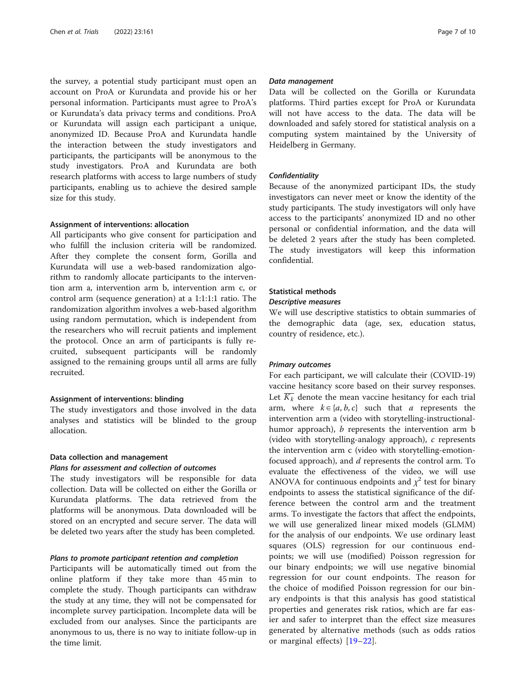the survey, a potential study participant must open an account on ProA or Kurundata and provide his or her personal information. Participants must agree to ProA's or Kurundata's data privacy terms and conditions. ProA or Kurundata will assign each participant a unique, anonymized ID. Because ProA and Kurundata handle the interaction between the study investigators and participants, the participants will be anonymous to the study investigators. ProA and Kurundata are both research platforms with access to large numbers of study participants, enabling us to achieve the desired sample size for this study.

#### Assignment of interventions: allocation

All participants who give consent for participation and who fulfill the inclusion criteria will be randomized. After they complete the consent form, Gorilla and Kurundata will use a web-based randomization algorithm to randomly allocate participants to the intervention arm a, intervention arm b, intervention arm c, or control arm (sequence generation) at a 1:1:1:1 ratio. The randomization algorithm involves a web-based algorithm using random permutation, which is independent from the researchers who will recruit patients and implement the protocol. Once an arm of participants is fully recruited, subsequent participants will be randomly assigned to the remaining groups until all arms are fully recruited.

#### Assignment of interventions: blinding

The study investigators and those involved in the data analyses and statistics will be blinded to the group allocation.

#### Data collection and management

# Plans for assessment and collection of outcomes

The study investigators will be responsible for data collection. Data will be collected on either the Gorilla or Kurundata platforms. The data retrieved from the platforms will be anonymous. Data downloaded will be stored on an encrypted and secure server. The data will be deleted two years after the study has been completed.

## Plans to promote participant retention and completion

Participants will be automatically timed out from the online platform if they take more than 45 min to complete the study. Though participants can withdraw the study at any time, they will not be compensated for incomplete survey participation. Incomplete data will be excluded from our analyses. Since the participants are anonymous to us, there is no way to initiate follow-up in the time limit.

#### Data management

Data will be collected on the Gorilla or Kurundata platforms. Third parties except for ProA or Kurundata will not have access to the data. The data will be downloaded and safely stored for statistical analysis on a computing system maintained by the University of Heidelberg in Germany.

#### **Confidentiality**

Because of the anonymized participant IDs, the study investigators can never meet or know the identity of the study participants. The study investigators will only have access to the participants' anonymized ID and no other personal or confidential information, and the data will be deleted 2 years after the study has been completed. The study investigators will keep this information confidential.

### Statistical methods

#### Descriptive measures

We will use descriptive statistics to obtain summaries of the demographic data (age, sex, education status, country of residence, etc.).

#### Primary outcomes

For each participant, we will calculate their (COVID-19) vaccine hesitancy score based on their survey responses. Let  $K_k$  denote the mean vaccine hesitancy for each trial arm, where  $k \in \{a, b, c\}$  such that a represents the intervention arm a (video with storytelling-instructionalhumor approach), *b* represents the intervention arm b (video with storytelling-analogy approach), c represents the intervention arm c (video with storytelling-emotionfocused approach), and d represents the control arm. To evaluate the effectiveness of the video, we will use ANOVA for continuous endpoints and  $\chi^2$  test for binary endpoints to assess the statistical significance of the difference between the control arm and the treatment arms. To investigate the factors that affect the endpoints, we will use generalized linear mixed models (GLMM) for the analysis of our endpoints. We use ordinary least squares (OLS) regression for our continuous endpoints; we will use (modified) Poisson regression for our binary endpoints; we will use negative binomial regression for our count endpoints. The reason for the choice of modified Poisson regression for our binary endpoints is that this analysis has good statistical properties and generates risk ratios, which are far easier and safer to interpret than the effect size measures generated by alternative methods (such as odds ratios or marginal effects) [\[19](#page-9-0)–[22](#page-9-0)].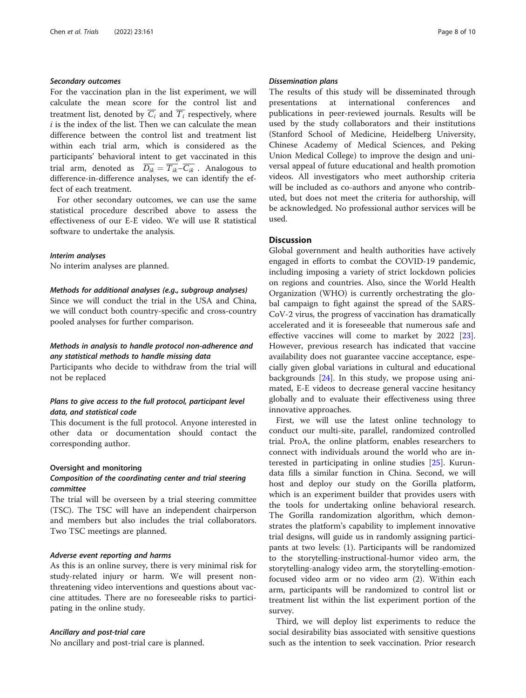# Secondary outcomes

For the vaccination plan in the list experiment, we will calculate the mean score for the control list and treatment list, denoted by  $\overline{C_i}$  and  $\overline{T_i}$  respectively, where  $i$  is the index of the list. Then we can calculate the mean difference between the control list and treatment list within each trial arm, which is considered as the participants' behavioral intent to get vaccinated in this trial arm, denoted as  $\overline{D_{ik}} = \overline{T_{ik}} - \overline{C_{ik}}$ . Analogous to difference-in-difference analyses, we can identify the effect of each treatment.

For other secondary outcomes, we can use the same statistical procedure described above to assess the effectiveness of our E-E video. We will use R statistical software to undertake the analysis.

#### Interim analyses

No interim analyses are planned.

#### Methods for additional analyses (e.g., subgroup analyses)

Since we will conduct the trial in the USA and China, we will conduct both country-specific and cross-country pooled analyses for further comparison.

# Methods in analysis to handle protocol non-adherence and any statistical methods to handle missing data

Participants who decide to withdraw from the trial will not be replaced

# Plans to give access to the full protocol, participant level data, and statistical code

This document is the full protocol. Anyone interested in other data or documentation should contact the corresponding author.

#### Oversight and monitoring

# Composition of the coordinating center and trial steering committee

The trial will be overseen by a trial steering committee (TSC). The TSC will have an independent chairperson and members but also includes the trial collaborators. Two TSC meetings are planned.

#### Adverse event reporting and harms

As this is an online survey, there is very minimal risk for study-related injury or harm. We will present nonthreatening video interventions and questions about vaccine attitudes. There are no foreseeable risks to participating in the online study.

#### Ancillary and post-trial care

No ancillary and post-trial care is planned.

#### Dissemination plans

The results of this study will be disseminated through presentations at international conferences and publications in peer-reviewed journals. Results will be used by the study collaborators and their institutions (Stanford School of Medicine, Heidelberg University, Chinese Academy of Medical Sciences, and Peking Union Medical College) to improve the design and universal appeal of future educational and health promotion videos. All investigators who meet authorship criteria will be included as co-authors and anyone who contributed, but does not meet the criteria for authorship, will be acknowledged. No professional author services will be used.

# **Discussion**

Global government and health authorities have actively engaged in efforts to combat the COVID-19 pandemic, including imposing a variety of strict lockdown policies on regions and countries. Also, since the World Health Organization (WHO) is currently orchestrating the global campaign to fight against the spread of the SARS-CoV-2 virus, the progress of vaccination has dramatically accelerated and it is foreseeable that numerous safe and effective vaccines will come to market by 2022 [\[23](#page-9-0)]. However, previous research has indicated that vaccine availability does not guarantee vaccine acceptance, especially given global variations in cultural and educational backgrounds [\[24](#page-9-0)]. In this study, we propose using animated, E-E videos to decrease general vaccine hesitancy globally and to evaluate their effectiveness using three innovative approaches.

First, we will use the latest online technology to conduct our multi-site, parallel, randomized controlled trial. ProA, the online platform, enables researchers to connect with individuals around the world who are interested in participating in online studies [[25\]](#page-9-0). Kurundata fills a similar function in China. Second, we will host and deploy our study on the Gorilla platform, which is an experiment builder that provides users with the tools for undertaking online behavioral research. The Gorilla randomization algorithm, which demonstrates the platform's capability to implement innovative trial designs, will guide us in randomly assigning participants at two levels: (1). Participants will be randomized to the storytelling-instructional-humor video arm, the storytelling-analogy video arm, the storytelling-emotionfocused video arm or no video arm (2). Within each arm, participants will be randomized to control list or treatment list within the list experiment portion of the survey.

Third, we will deploy list experiments to reduce the social desirability bias associated with sensitive questions such as the intention to seek vaccination. Prior research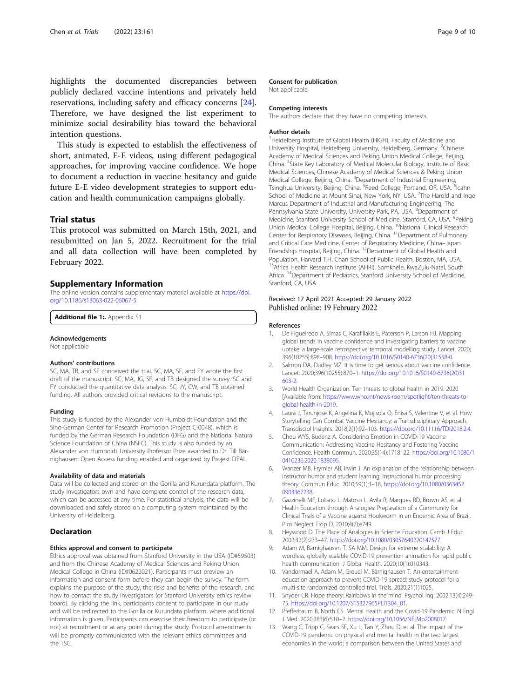<span id="page-8-0"></span>highlights the documented discrepancies between publicly declared vaccine intentions and privately held reservations, including safety and efficacy concerns [\[24](#page-9-0)]. Therefore, we have designed the list experiment to minimize social desirability bias toward the behavioral intention questions.

This study is expected to establish the effectiveness of short, animated, E-E videos, using different pedagogical approaches, for improving vaccine confidence. We hope to document a reduction in vaccine hesitancy and guide future E-E video development strategies to support education and health communication campaigns globally.

#### Trial status

This protocol was submitted on March 15th, 2021, and resubmitted on Jan 5, 2022. Recruitment for the trial and all data collection will have been completed by February 2022.

# Supplementary Information

The online version contains supplementary material available at [https://doi.](https://doi.org/10.1186/s13063-022-06067-5) [org/10.1186/s13063-022-06067-5.](https://doi.org/10.1186/s13063-022-06067-5)

Additional file 1: Appendix S1

#### Acknowledgements

Not applicable

#### Authors' contributions

SC, MA, TB, and SF conceived the trial. SC, MA, SF, and FY wrote the first draft of the manuscript. SC, MA, JG, SF, and TB designed the survey. SC and FY conducted the quantitative data analysis. SC, JY, CW, and TB obtained funding. All authors provided critical revisions to the manuscript.

#### Funding

This study is funded by the Alexander von Humboldt Foundation and the Sino-German Center for Research Promotion (Project C-0048), which is funded by the German Research Foundation (DFG) and the National Natural Science Foundation of China (NSFC). This study is also funded by an Alexander von Humboldt University Professor Prize awarded to Dr. Till Bärnighausen. Open Access funding enabled and organized by Projekt DEAL.

#### Availability of data and materials

Data will be collected and stored on the Gorilla and Kurundata platform. The study investigators own and have complete control of the research data, which can be accessed at any time. For statistical analysis, the data will be downloaded and safely stored on a computing system maintained by the University of Heidelberg.

#### Declaration

#### Ethics approval and consent to participate

Ethics approval was obtained from Stanford University in the USA (ID#59503) and from the Chinese Academy of Medical Sciences and Peking Union Medical College in China (ID#0622021). Participants must preview an information and consent form before they can begin the survey. The form explains the purpose of the study, the risks and benefits of the research, and how to contact the study investigators (or Stanford University ethics review board). By clicking the link, participants consent to participate in our study and will be redirected to the Gorilla or Kurundata platform, where additional information is given. Participants can exercise their freedom to participate (or not) at recruitment or at any point during the study. Protocol amendments will be promptly communicated with the relevant ethics committees and the TSC.

#### Consent for publication

Not applicable

#### Competing interests

The authors declare that they have no competing interests.

#### Author details

<sup>1</sup>Heidelberg Institute of Global Health (HIGH), Faculty of Medicine and University Hospital, Heidelberg University, Heidelberg, Germany. <sup>2</sup>Chinese Academy of Medical Sciences and Peking Union Medical College, Beijing, China. <sup>3</sup>State Key Laboratory of Medical Molecular Biology, Institute of Basic Medical Sciences, Chinese Academy of Medical Sciences & Peking Union Medical College, Beijing, China. <sup>4</sup>Department of Industrial Engineering, Tsinghua University, Beijing, China. <sup>5</sup>Reed College, Portland, OR, USA. <sup>6</sup>Icahn School of Medicine at Mount Sinai, New York, NY, USA. <sup>7</sup>The Harold and Inge Marcus Department of Industrial and Manufacturing Engineering, The Pennsylvania State University, University Park, PA, USA. <sup>8</sup>Department of Medicine, Stanford University School of Medicine, Stanford, CA, USA. <sup>9</sup>Peking Union Medical College Hospital, Beijing, China. <sup>10</sup>National Clinical Research Center for Respiratory Diseases, Beijing, China. 11Department of Pulmonary and Critical Care Medicine, Center of Respiratory Medicine, China–Japan Friendship Hospital, Beijing, China. 12Department of Global Health and Population, Harvard T.H. Chan School of Public Health, Boston, MA, USA. <sup>13</sup>Africa Health Research Institute (AHRI), Somkhele, KwaZulu-Natal, South Africa. 14Department of Pediatrics, Stanford University School of Medicine, Stanford, CA, USA.

#### Received: 17 April 2021 Accepted: 29 January 2022 Published online: 19 February 2022

#### References

- 1. De Figueiredo A, Simas C, Karafillakis E, Paterson P, Larson HJ. Mapping global trends in vaccine confidence and investigating barriers to vaccine uptake: a large-scale retrospective temporal modelling study. Lancet. 2020; 396(10255):898–908. [https://doi.org/10.1016/S0140-6736\(20\)31558-0](https://doi.org/10.1016/S0140-6736(20)31558-0).
- 2. Salmon DA, Dudley MZ. It is time to get serious about vaccine confidence. Lancet. 2020;396(10255):870–1. [https://doi.org/10.1016/S0140-6736\(20\)31](https://doi.org/10.1016/S0140-6736(20)31603-2) [603-2](https://doi.org/10.1016/S0140-6736(20)31603-2).
- 3. World Health Organization. Ten threats to global health in 2019. 2020 [Available from: [https://www.who.int/news-room/spotlight/ten-threats-to](https://www.who.int/news-room/spotlight/ten-threats-to-global-health-in-2019)[global-health-in-2019](https://www.who.int/news-room/spotlight/ten-threats-to-global-health-in-2019).
- 4. Laura J, Tarunjose K, Angelina K, Mojisola O, Enisa S, Valentine V, et al. How Storytelling Can Combat Vaccine Hesitancy: a Transdisciplinary Approach. Transdiscipl Insights. 2018;2(1):92–103. <https://doi.org/10.11116/TDI2018.2.4>.
- 5. Chou WYS, Budenz A. Considering Emotion in COVID-19 Vaccine Communication: Addressing Vaccine Hesitancy and Fostering Vaccine Confidence. Health Commun. 2020;35(14):1718–22. [https://doi.org/10.1080/1](https://doi.org/10.1080/10410236.2020.1838096) [0410236.2020.1838096.](https://doi.org/10.1080/10410236.2020.1838096)
- 6. Wanzer MB, Frymier AB, Irwin J. An explanation of the relationship between instructor humor and student learning: Instructional humor processing theory. Commun Educ. 2010;59(1):1–18. [https://doi.org/10.1080/0363452](https://doi.org/10.1080/03634520903367238) [0903367238.](https://doi.org/10.1080/03634520903367238)
- Gazzinelli MF, Lobato L, Matoso L, Avila R, Marques RD, Brown AS, et al. Health Education through Analogies: Preparation of a Community for Clinical Trials of a Vaccine against Hookworm in an Endemic Area of Brazil. Plos Neglect Trop D. 2010;4(7):e749.
- 8. Heywood D. The Place of Analogies in Science Education. Camb J Educ. 2002;32(2):233–47. [https://doi.org/10.1080/03057640220147577.](https://doi.org/10.1080/03057640220147577)
- 9. Adam M, Bärnighausen T, SA MM. Design for extreme scalability: A wordless, globally scalable COVID-19 prevention animation for rapid public health communication. J Global Health. 2020;10(1):010343.
- 10. Vandormael A, Adam M, Greuel M, Bärnighausen T. An entertainmenteducation approach to prevent COVID-19 spread: study protocol for a multi-site randomized controlled trial. Trials. 2020;21(1)1025.
- 11. Snyder CR. Hope theory: Rainbows in the mind. Psychol Inq. 2002;13(4):249– 75. [https://doi.org/10.1207/S15327965PLI1304\\_01.](https://doi.org/10.1207/S15327965PLI1304_01)
- 12. Pfefferbaum B, North CS. Mental Health and the Covid-19 Pandemic. N Engl J Med. 2020;383(6):510–2. <https://doi.org/10.1056/NEJMp2008017>.
- 13. Wang C, Tripp C, Sears SF, Xu L, Tan Y, Zhou D, et al. The impact of the COVID-19 pandemic on physical and mental health in the two largest economies in the world: a comparison between the United States and